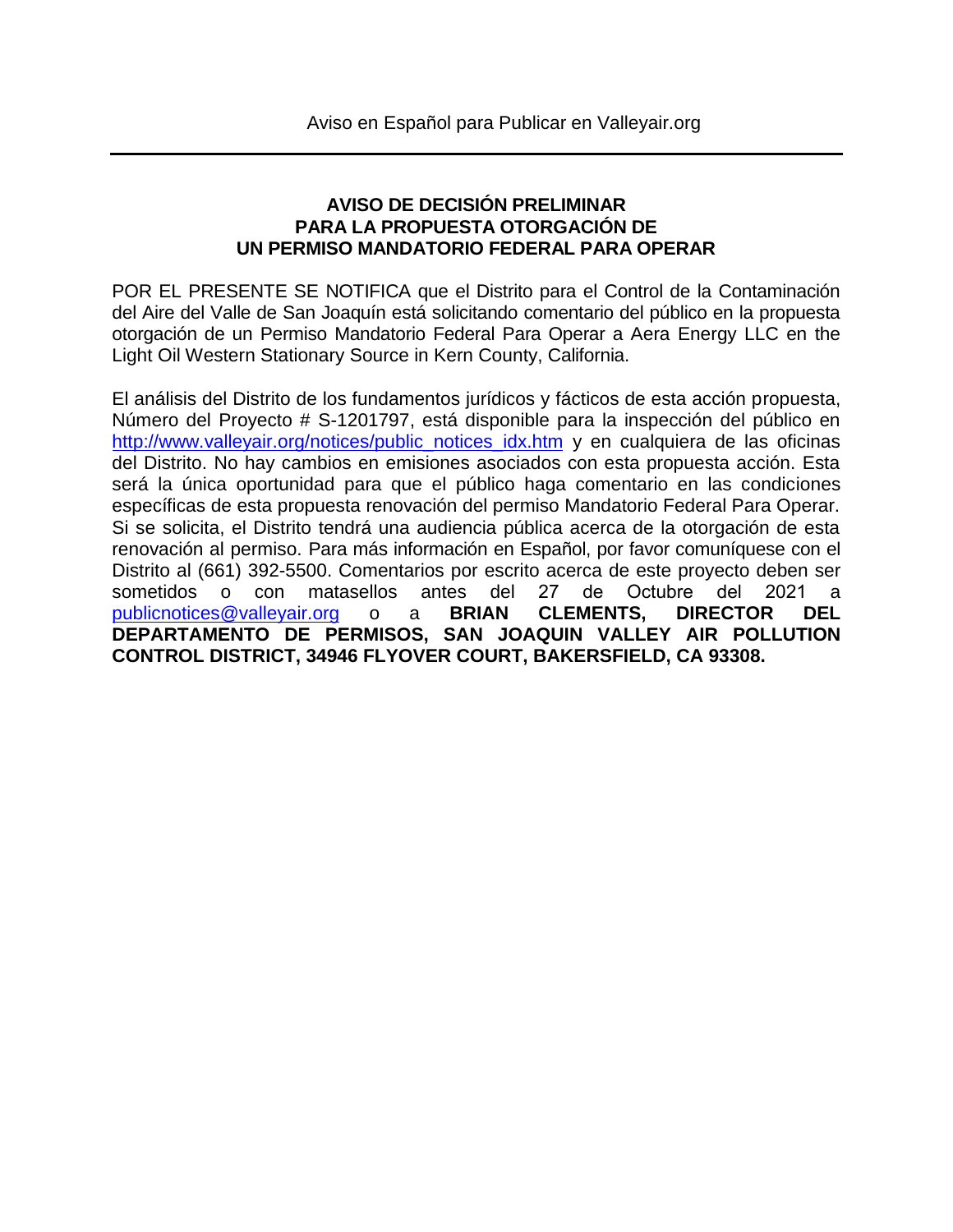## **AVISO DE DECISIÓN PRELIMINAR PARA LA PROPUESTA OTORGACIÓN DE UN PERMISO MANDATORIO FEDERAL PARA OPERAR**

POR EL PRESENTE SE NOTIFICA que el Distrito para el Control de la Contaminación del Aire del Valle de San Joaquín está solicitando comentario del público en la propuesta otorgación de un Permiso Mandatorio Federal Para Operar a Aera Energy LLC en the Light Oil Western Stationary Source in Kern County, California.

El análisis del Distrito de los fundamentos jurídicos y fácticos de esta acción propuesta, Número del Proyecto # S-1201797, está disponible para la inspección del público en [http://www.valleyair.org/notices/public\\_notices\\_idx.htm](http://www.valleyair.org/notices/public_notices_idx.htm) y en cualquiera de las oficinas del Distrito. No hay cambios en emisiones asociados con esta propuesta acción. Esta será la única oportunidad para que el público haga comentario en las condiciones específicas de esta propuesta renovación del permiso Mandatorio Federal Para Operar. Si se solicita, el Distrito tendrá una audiencia pública acerca de la otorgación de esta renovación al permiso. Para más información en Español, por favor comuníquese con el Distrito al (661) 392-5500. Comentarios por escrito acerca de este proyecto deben ser sometidos o con matasellos antes del [27 de Octubre del](mailto:publicnotices@valleyair.org) 2021 a publicnotices@valleyair.org o a **BRIAN CLEMENTS, DIRECTOR DEL DEPARTAMENTO DE PERMISOS, SAN JOAQUIN VALLEY AIR POLLUTION CONTROL DISTRICT, 34946 FLYOVER COURT, BAKERSFIELD, CA 93308.**